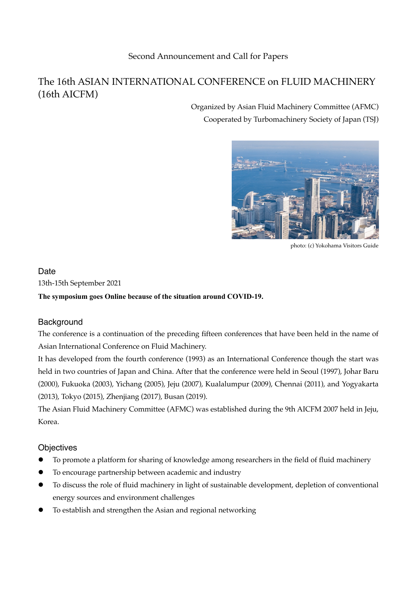## Second Announcement and Call for Papers

# The 16th ASIAN INTERNATIONAL CONFERENCE on FLUID MACHINERY (16th AICFM)

Organized by Asian Fluid Machinery Committee (AFMC) Cooperated by Turbomachinery Society of Japan (TSJ)



photo: (c) Yokohama Visitors Guide

#### **Date**

13th-15th September 2021

**The symposium goes Online because of the situation around COVID-19.**

### **Background**

The conference is a continuation of the preceding fifteen conferences that have been held in the name of Asian International Conference on Fluid Machinery.

It has developed from the fourth conference (1993) as an International Conference though the start was held in two countries of Japan and China. After that the conference were held in Seoul (1997), Johar Baru (2000), Fukuoka (2003), Yichang (2005), Jeju (2007), Kualalumpur (2009), Chennai (2011), and Yogyakarta (2013), Tokyo (2015), Zhenjiang (2017), Busan (2019).

The Asian Fluid Machinery Committee (AFMC) was established during the 9th AICFM 2007 held in Jeju, Korea.

### **Objectives**

- To promote a platform for sharing of knowledge among researchers in the field of fluid machinery
- To encourage partnership between academic and industry
- $\bullet$  To discuss the role of fluid machinery in light of sustainable development, depletion of conventional energy sources and environment challenges
- To establish and strengthen the Asian and regional networking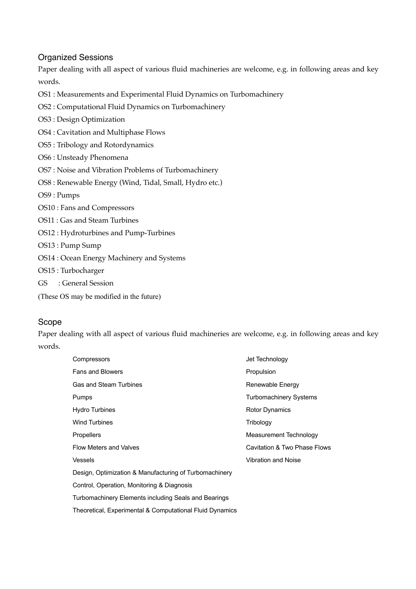## Organized Sessions

Paper dealing with all aspect of various fluid machineries are welcome, e.g. in following areas and key words.

- OS1 : Measurements and Experimental Fluid Dynamics on Turbomachinery
- OS2 : Computational Fluid Dynamics on Turbomachinery
- OS3 : Design Optimization
- OS4 : Cavitation and Multiphase Flows
- OS5 : Tribology and Rotordynamics
- OS6 : Unsteady Phenomena
- OS7 : Noise and Vibration Problems of Turbomachinery
- OS8 : Renewable Energy (Wind, Tidal, Small, Hydro etc.)

OS9 : Pumps

- OS10 : Fans and Compressors
- OS11 : Gas and Steam Turbines
- OS12 : Hydroturbines and Pump-Turbines
- OS13 : Pump Sump
- OS14 : Ocean Energy Machinery and Systems
- OS15 : Turbocharger
- GS : General Session
- (These OS may be modified in the future)

### Scope

Paper dealing with all aspect of various fluid machineries are welcome, e.g. in following areas and key words.

| Compressors                                              | Jet Technology                |
|----------------------------------------------------------|-------------------------------|
| <b>Fans and Blowers</b>                                  | Propulsion                    |
| <b>Gas and Steam Turbines</b>                            | Renewable Energy              |
| <b>Pumps</b>                                             | <b>Turbomachinery Systems</b> |
| <b>Hydro Turbines</b>                                    | <b>Rotor Dynamics</b>         |
| <b>Wind Turbines</b>                                     | Tribology                     |
| <b>Propellers</b>                                        | Measurement Technology        |
| <b>Flow Meters and Valves</b>                            | Cavitation & Two Phase Flows  |
| <b>Vessels</b>                                           | <b>Vibration and Noise</b>    |
| Design, Optimization & Manufacturing of Turbomachinery   |                               |
| Control, Operation, Monitoring & Diagnosis               |                               |
| Turbomachinery Elements including Seals and Bearings     |                               |
| Theoretical, Experimental & Computational Fluid Dynamics |                               |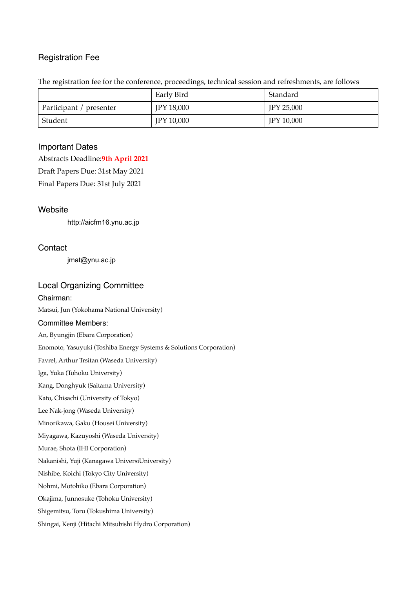### Registration Fee

The registration fee for the conference, proceedings, technical session and refreshments, are follows

|                         | Early Bird        | Standard          |
|-------------------------|-------------------|-------------------|
| Participant / presenter | <b>IPY 18,000</b> | <b>JPY 25,000</b> |
| Student                 | <b>JPY 10,000</b> | <b>JPY 10,000</b> |

#### Important Dates

Abstracts Deadline:**9th April 2021**

Draft Papers Due: 31st May 2021

Final Papers Due: 31st July 2021

#### **Website**

http://aicfm16.ynu.ac.jp

#### **Contact**

jmat@ynu.ac.jp

#### Local Organizing Committee

Chairman: Matsui, Jun (Yokohama National University) Committee Members: An, Byungjin (Ebara Corporation) Enomoto, Yasuyuki (Toshiba Energy Systems & Solutions Corporation) Favrel, Arthur Trsitan (Waseda University) Iga, Yuka (Tohoku University) Kang, Donghyuk (Saitama University) Kato, Chisachi (University of Tokyo) Lee Nak-jong (Waseda University) Minorikawa, Gaku (Housei University) Miyagawa, Kazuyoshi (Waseda University) Murae, Shota (IHI Corporation) Nakanishi, Yuji (Kanagawa UniversiUniversity) Nishibe, Koichi (Tokyo City University) Nohmi, Motohiko (Ebara Corporation) Okajima, Junnosuke (Tohoku University) Shigemitsu, Toru (Tokushima University) Shingai, Kenji (Hitachi Mitsubishi Hydro Corporation)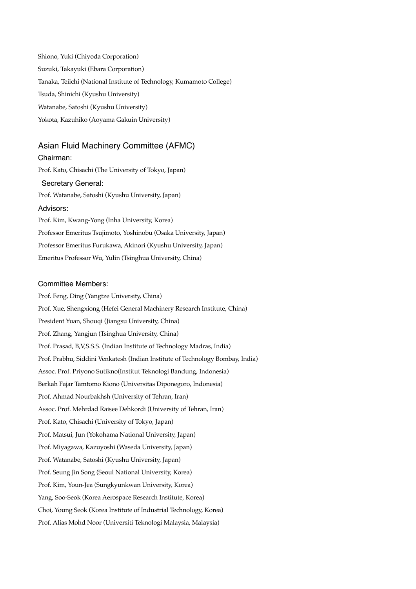Shiono, Yuki (Chiyoda Corporation) Suzuki, Takayuki (Ebara Corporation) Tanaka, Teiichi (National Institute of Technology, Kumamoto College) Tsuda, Shinichi (Kyushu University) Watanabe, Satoshi (Kyushu University) Yokota, Kazuhiko (Aoyama Gakuin University)

#### Asian Fluid Machinery Committee (AFMC)

Chairman: Prof. Kato, Chisachi (The University of Tokyo, Japan) Secretary General: Prof. Watanabe, Satoshi (Kyushu University, Japan) Advisors: Prof. Kim, Kwang-Yong (Inha University, Korea) Professor Emeritus Tsujimoto, Yoshinobu (Osaka University, Japan) Professor Emeritus Furukawa, Akinori (Kyushu University, Japan) Emeritus Professor Wu, Yulin (Tsinghua University, China)

#### Committee Members:

Prof. Feng, Ding (Yangtze University, China) Prof. Xue, Shengxiong (Hefei General Machinery Research Institute, China) President Yuan, Shouqi (Jiangsu University, China) Prof. Zhang, Yangjun (Tsinghua University, China) Prof. Prasad, B,V,S.S.S. (Indian Institute of Technology Madras, India) Prof. Prabhu, Siddini Venkatesh (Indian Institute of Technology Bombay, India) Assoc. Prof. Priyono Sutikno(Institut Teknologi Bandung, Indonesia) Berkah Fajar Tamtomo Kiono (Universitas Diponegoro, Indonesia) Prof. Ahmad Nourbakhsh (University of Tehran, Iran) Assoc. Prof. Mehrdad Raisee Dehkordi (University of Tehran, Iran) Prof. Kato, Chisachi (University of Tokyo, Japan) Prof. Matsui, Jun (Yokohama National University, Japan) Prof. Miyagawa, Kazuyoshi (Waseda University, Japan) Prof. Watanabe, Satoshi (Kyushu University, Japan) Prof. Seung Jin Song (Seoul National University, Korea) Prof. Kim, Youn-Jea (Sungkyunkwan University, Korea) Yang, Soo-Seok (Korea Aerospace Research Institute, Korea) Choi, Young Seok (Korea Institute of Industrial Technology, Korea) Prof. Alias Mohd Noor (Universiti Teknologi Malaysia, Malaysia)